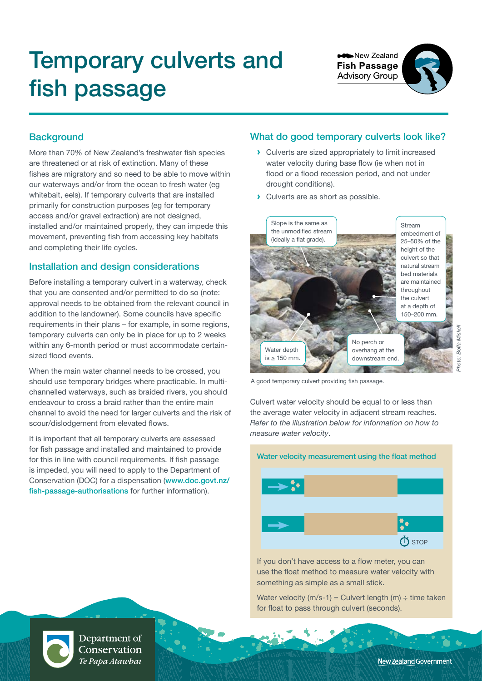# Temporary culverts and fish passage

**New Zealand Fish Passage Advisory Group** 



## **Background**

More than 70% of New Zealand's freshwater fish species are threatened or at risk of extinction. Many of these fishes are migratory and so need to be able to move within our waterways and/or from the ocean to fresh water (eg whitebait, eels). If temporary culverts that are installed primarily for construction purposes (eg for temporary access and/or gravel extraction) are not designed, installed and/or maintained properly, they can impede this movement, preventing fish from accessing key habitats and completing their life cycles.

#### Installation and design considerations

Before installing a temporary culvert in a waterway, check that you are consented and/or permitted to do so (note: approval needs to be obtained from the relevant council in addition to the landowner). Some councils have specific requirements in their plans – for example, in some regions, temporary culverts can only be in place for up to 2 weeks within any 6-month period or must accommodate certainsized flood events.

When the main water channel needs to be crossed, you should use temporary bridges where practicable. In multichannelled waterways, such as braided rivers, you should endeavour to cross a braid rather than the entire main channel to avoid the need for larger culverts and the risk of scour/dislodgement from elevated flows.

It is important that all temporary culverts are assessed for fish passage and installed and maintained to provide for this in line with council requirements. If fish passage is impeded, you will need to apply to the Department of Conservation (DOC) for a dispensation ([www.doc.govt.nz/](www.doc.govt.nz/fish-passage-authorisations) [fish-passage-authorisations](www.doc.govt.nz/fish-passage-authorisations) for further information).

## What do good temporary culverts look like?

- **›** Culverts are sized appropriately to limit increased water velocity during base flow (ie when not in flood or a flood recession period, and not under drought conditions).
- **›** Culverts are as short as possible.



A good temporary culvert providing fish passage.

Culvert water velocity should be equal to or less than the average water velocity in adjacent stream reaches. *Refer to the illustration below for information on how to measure water velocity*.



If you don't have access to a flow meter, you can use the float method to measure water velocity with something as simple as a small stick.

Water velocity (m/s-1) = Culvert length (m)  $\div$  time taken for float to pass through culvert (seconds).



Department of Conservation Te Papa Atawbai

New Zealand Government